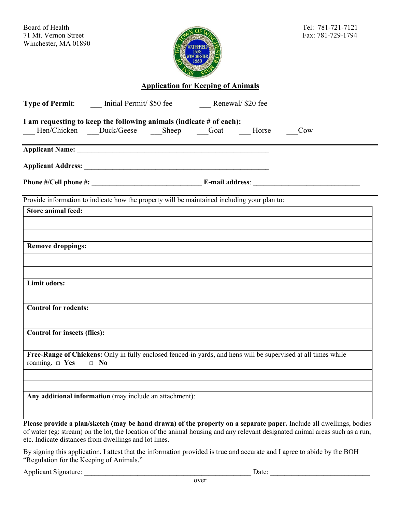

**Application for Keeping of Animals**

| Type of Permit: _______ Initial Permit/ \$50 fee ___________ Renewal/ \$20 fee |                                                                                                                                                                                                                                                     |  |
|--------------------------------------------------------------------------------|-----------------------------------------------------------------------------------------------------------------------------------------------------------------------------------------------------------------------------------------------------|--|
| I am requesting to keep the following animals (indicate # of each):            | Hen/Chicken Duck/Geese Sheep Goat Horse<br>Cow                                                                                                                                                                                                      |  |
|                                                                                |                                                                                                                                                                                                                                                     |  |
|                                                                                |                                                                                                                                                                                                                                                     |  |
|                                                                                |                                                                                                                                                                                                                                                     |  |
|                                                                                | Provide information to indicate how the property will be maintained including your plan to:                                                                                                                                                         |  |
| <b>Store animal feed:</b>                                                      |                                                                                                                                                                                                                                                     |  |
|                                                                                |                                                                                                                                                                                                                                                     |  |
| <b>Remove droppings:</b>                                                       |                                                                                                                                                                                                                                                     |  |
|                                                                                |                                                                                                                                                                                                                                                     |  |
| Limit odors:                                                                   |                                                                                                                                                                                                                                                     |  |
| <b>Control for rodents:</b>                                                    |                                                                                                                                                                                                                                                     |  |
| <b>Control for insects (flies):</b>                                            |                                                                                                                                                                                                                                                     |  |
| roaming. $\Box$ Yes<br>$\Box$ No                                               | Free-Range of Chickens: Only in fully enclosed fenced-in yards, and hens will be supervised at all times while                                                                                                                                      |  |
| Any additional information (may include an attachment):                        |                                                                                                                                                                                                                                                     |  |
|                                                                                | Please provide a plan/sketch (may be hand drawn) of the property on a separate paper. Include all dwellings, bodies<br>of water (eg: stream) on the lot, the location of the animal housing and any relevant designated animal areas such as a run, |  |

etc. Indicate distances from dwellings and lot lines.

By signing this application, I attest that the information provided is true and accurate and I agree to abide by the BOH "Regulation for the Keeping of Animals."

Applicant Signature: \_\_\_\_\_\_\_\_\_\_\_\_\_\_\_\_\_\_\_\_\_\_\_\_\_\_\_\_\_\_\_\_\_\_\_\_\_\_\_\_\_\_\_\_\_\_\_ Date: \_\_\_\_\_\_\_\_\_\_\_\_\_\_\_\_\_\_\_\_\_\_\_\_\_\_\_\_